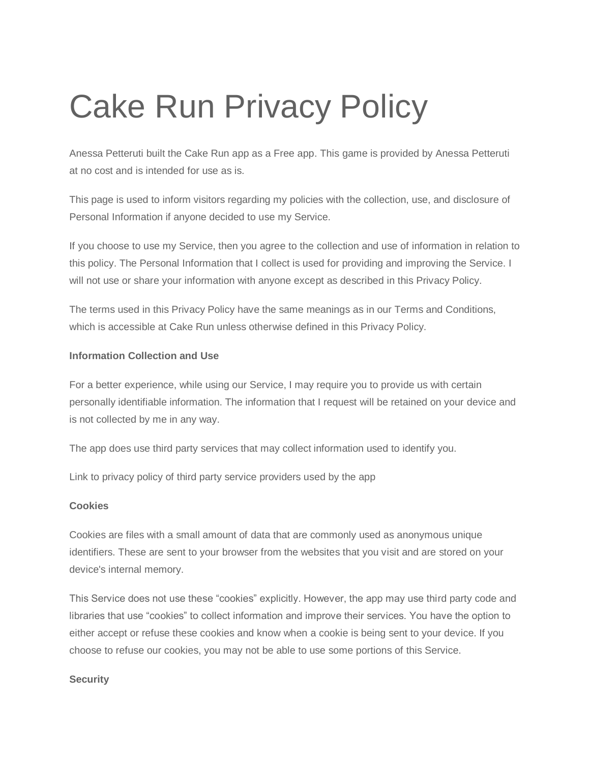# Cake Run Privacy Policy

Anessa Petteruti built the Cake Run app as a Free app. This game is provided by Anessa Petteruti at no cost and is intended for use as is.

This page is used to inform visitors regarding my policies with the collection, use, and disclosure of Personal Information if anyone decided to use my Service.

If you choose to use my Service, then you agree to the collection and use of information in relation to this policy. The Personal Information that I collect is used for providing and improving the Service. I will not use or share your information with anyone except as described in this Privacy Policy.

The terms used in this Privacy Policy have the same meanings as in our Terms and Conditions, which is accessible at Cake Run unless otherwise defined in this Privacy Policy.

## **Information Collection and Use**

For a better experience, while using our Service, I may require you to provide us with certain personally identifiable information. The information that I request will be retained on your device and is not collected by me in any way.

The app does use third party services that may collect information used to identify you.

Link to privacy policy of third party service providers used by the app

## **Cookies**

Cookies are files with a small amount of data that are commonly used as anonymous unique identifiers. These are sent to your browser from the websites that you visit and are stored on your device's internal memory.

This Service does not use these "cookies" explicitly. However, the app may use third party code and libraries that use "cookies" to collect information and improve their services. You have the option to either accept or refuse these cookies and know when a cookie is being sent to your device. If you choose to refuse our cookies, you may not be able to use some portions of this Service.

## **Security**